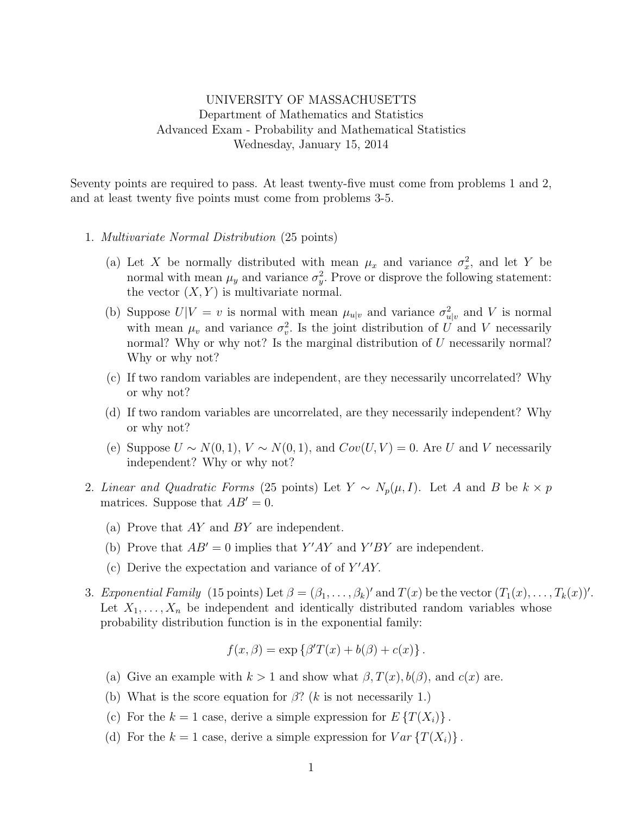## UNIVERSITY OF MASSACHUSETTS Department of Mathematics and Statistics Advanced Exam - Probability and Mathematical Statistics Wednesday, January 15, 2014

Seventy points are required to pass. At least twenty-five must come from problems 1 and 2, and at least twenty five points must come from problems 3-5.

- 1. Multivariate Normal Distribution (25 points)
	- (a) Let X be normally distributed with mean  $\mu_x$  and variance  $\sigma_x^2$ , and let Y be normal with mean  $\mu_y$  and variance  $\sigma_y^2$ . Prove or disprove the following statement: the vector  $(X, Y)$  is multivariate normal.
	- (b) Suppose  $U|V = v$  is normal with mean  $\mu_{u|v}$  and variance  $\sigma_{u|v}^2$  and V is normal with mean  $\mu_v$  and variance  $\sigma_v^2$ . Is the joint distribution of U and V necessarily normal? Why or why not? Is the marginal distribution of U necessarily normal? Why or why not?
	- (c) If two random variables are independent, are they necessarily uncorrelated? Why or why not?
	- (d) If two random variables are uncorrelated, are they necessarily independent? Why or why not?
	- (e) Suppose  $U \sim N(0, 1)$ ,  $V \sim N(0, 1)$ , and  $Cov(U, V) = 0$ . Are U and V necessarily independent? Why or why not?
- 2. Linear and Quadratic Forms (25 points) Let  $Y \sim N_p(\mu, I)$ . Let A and B be  $k \times p$ matrices. Suppose that  $AB' = 0$ .
	- (a) Prove that AY and BY are independent.
	- (b) Prove that  $AB' = 0$  implies that Y'AY and Y'BY are independent.
	- (c) Derive the expectation and variance of of  $Y'AY$ .
- 3. Exponential Family (15 points) Let  $\beta = (\beta_1, \ldots, \beta_k)'$  and  $T(x)$  be the vector  $(T_1(x), \ldots, T_k(x))'$ . Let  $X_1, \ldots, X_n$  be independent and identically distributed random variables whose probability distribution function is in the exponential family:

$$
f(x, \beta) = \exp \{ \beta' T(x) + b(\beta) + c(x) \}.
$$

- (a) Give an example with  $k > 1$  and show what  $\beta, T(x), b(\beta)$ , and  $c(x)$  are.
- (b) What is the score equation for  $\beta$ ? (k is not necessarily 1.)
- (c) For the  $k = 1$  case, derive a simple expression for  $E\left\{T(X_i)\right\}$ .
- (d) For the  $k = 1$  case, derive a simple expression for  $Var\{T(X_i)\}\.$